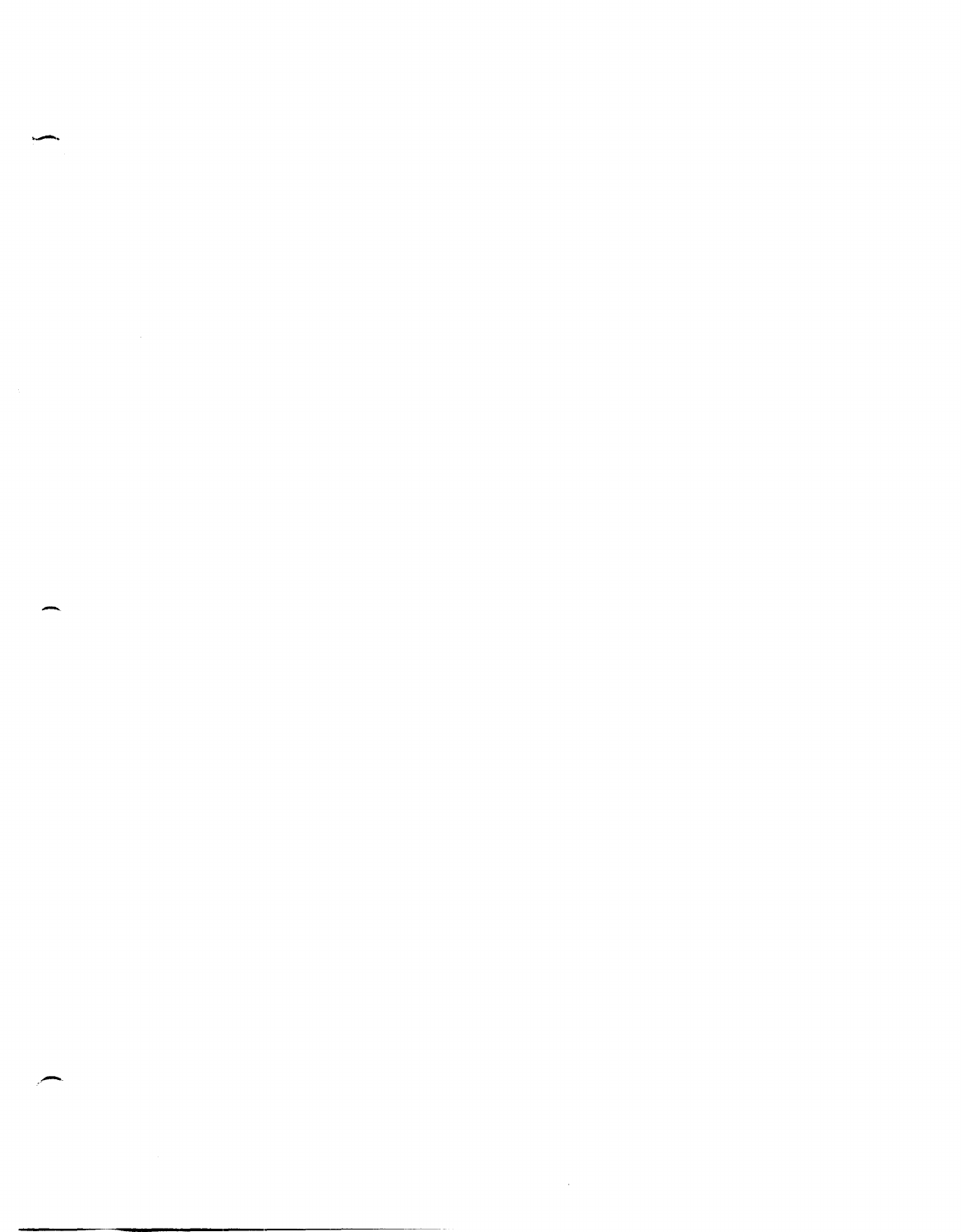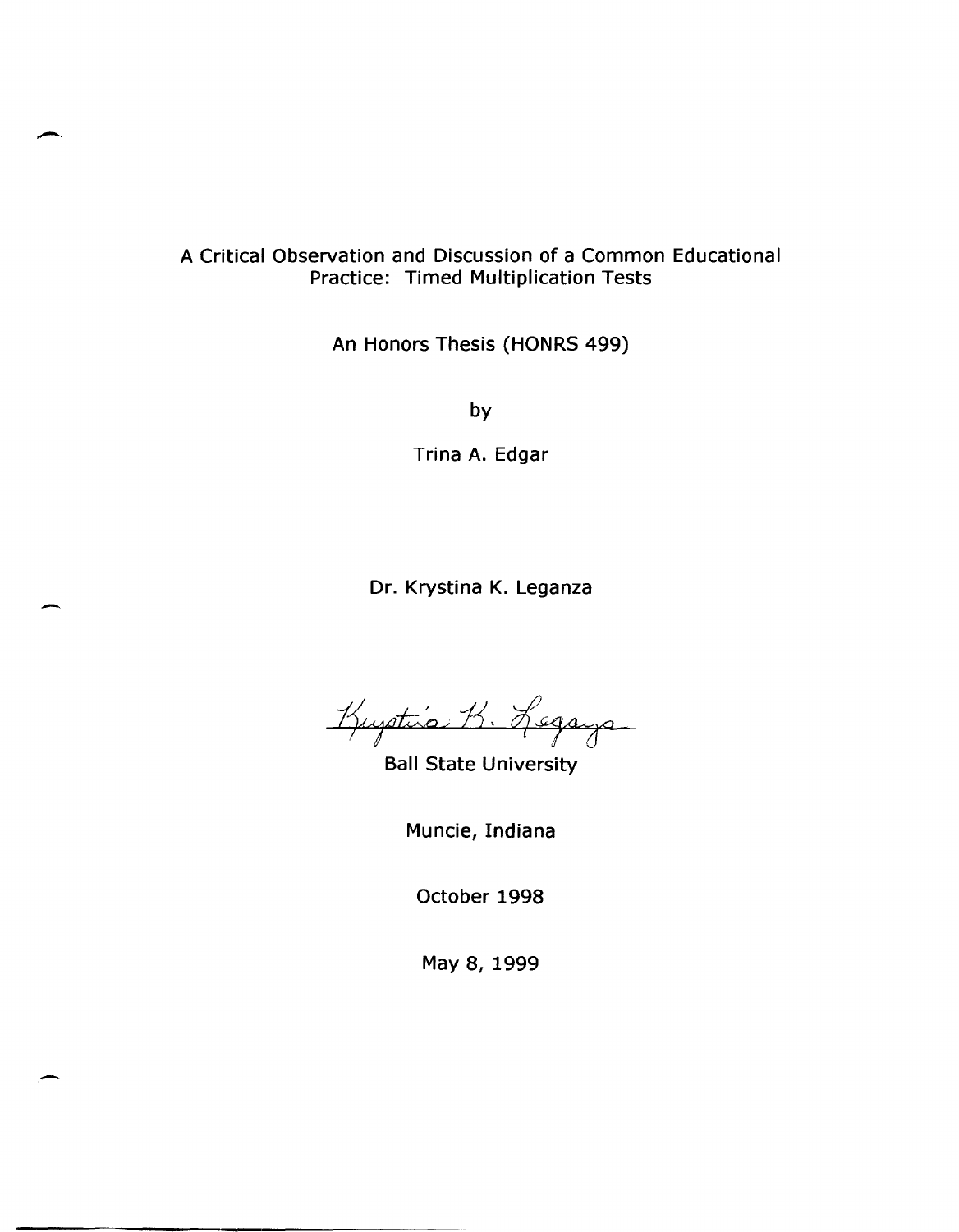# A Critical Observation and Discussion of a Common Educational Practice: Timed Multiplication Tests

An Honors Thesis (HONRS 499)

by

Trina A. Edgar

Dr. Krystina K. Leganza

Kuptua K. Legaya

**Ball State University** 

Muncie, Indiana

October 1998

May 8, 1999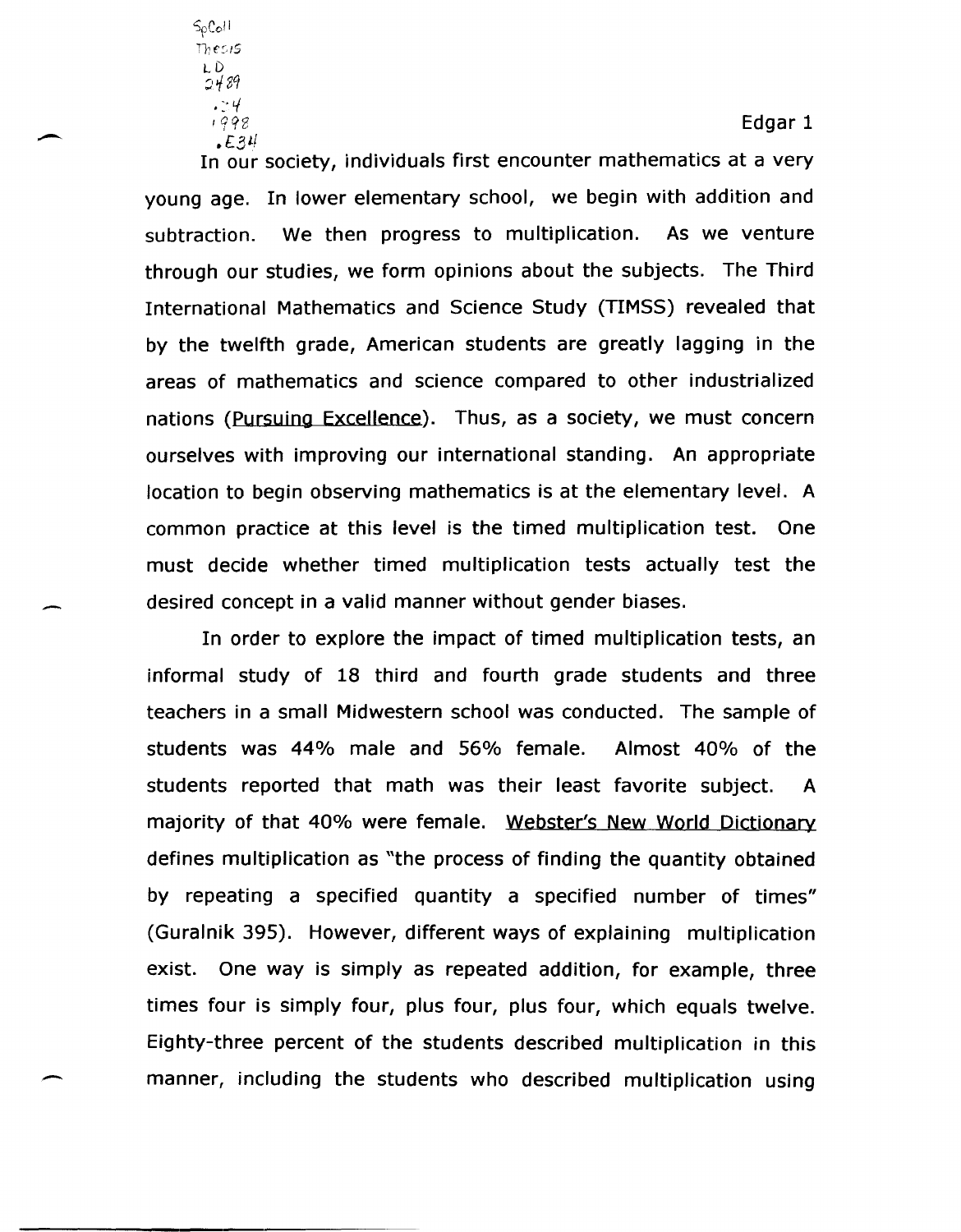$S_{\rho}$ Coll  $The <sub>15</sub>$ LD  $2489$  $\cdot$   $\cdot$  4 *.£3/.1* 

-

-

 $\overline{1998}$  Edgar 1

In our society, individuals first encounter mathematics at a very young age. In lower elementary school, we begin with addition and subtraction. We then progress to multiplication. As we venture through our studies, we form opinions about the subjects. The Third International Mathematics and Science Study (TIMSS) revealed that by the twelfth grade, American students are greatly lagging in the areas of mathematics and science compared to other industrialized nations (Pursuing Excellence). Thus, as a society, we must concern ourselves with improving our international standing. An appropriate location to begin observing mathematics is at the elementary level. A common practice at this level is the timed multiplication test. One must decide whether timed multiplication tests actually test the desired concept in a valid manner without gender biases.

In order to explore the impact of timed multiplication tests, an informal study of 18 third and fourth grade students and three teachers in a small Midwestern school was conducted. The sample of students was 44% male and 56% female. Almost 40% of the students reported that math was their least favorite subject. A majority of that 40% were female. Webster's New World Dictionary defines multiplication as "the process of finding the quantity obtained by repeating a specified quantity a specified number of times" (Guralnik 395). However, different ways of explaining multiplication exist. One way is simply as repeated addition, for example, three times four is simply four, plus four, plus four, which equals twelve. Eighty-three percent of the students described multiplication in this manner, including the students who described multiplication using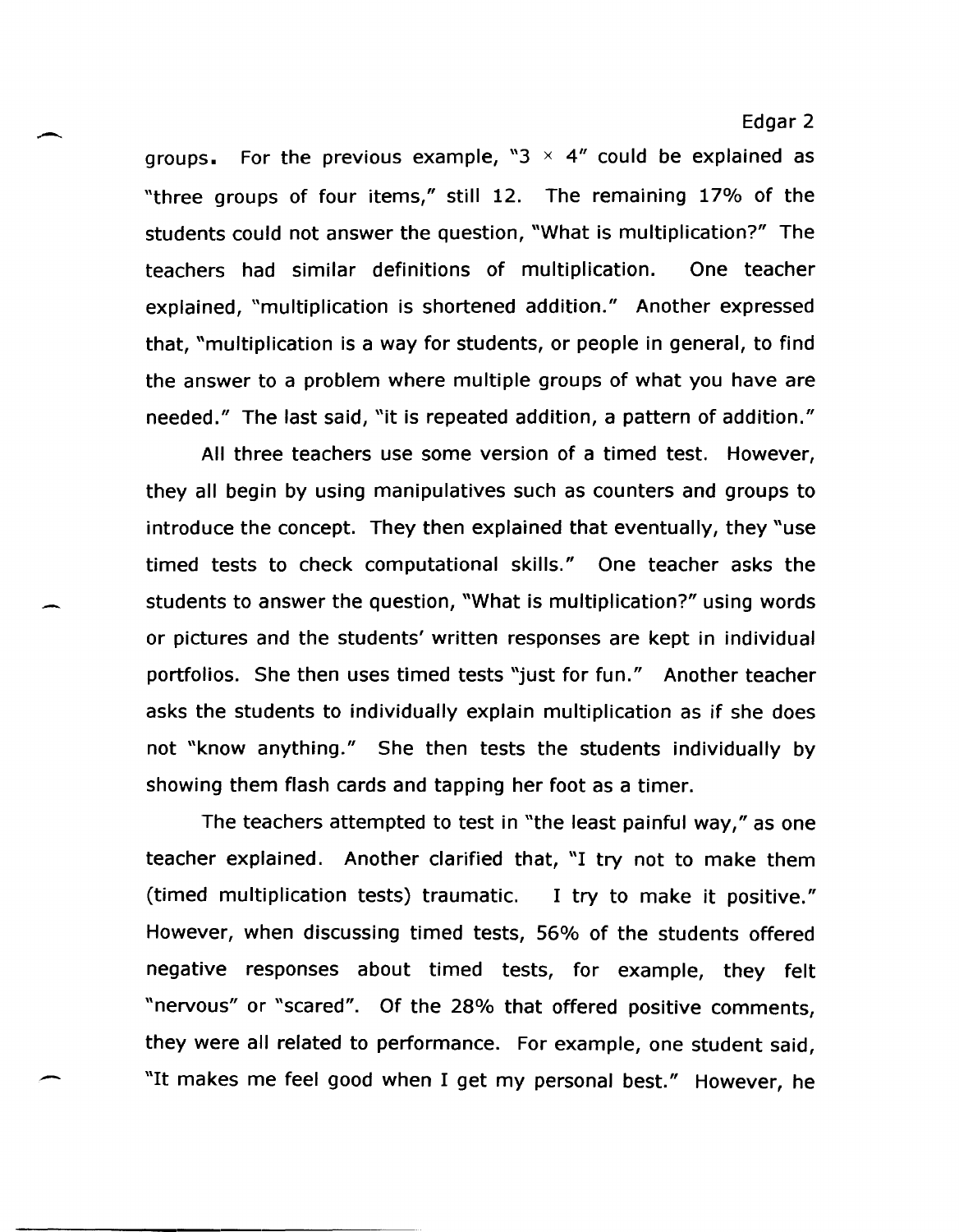## Edgar 2

groups. For the previous example, " $3 \times 4$ " could be explained as "three groups of four items," still 12. The remaining 17% of the students could not answer the question, "What is multiplication?" The teachers had similar definitions of multiplication. One teacher explained, "multiplication is shortened addition." Another expressed that, "multiplication is a way for students, or people in general, to find the answer to a problem where multiple groups of what you have are needed." The last said, "it is repeated addition, a pattern of addition."

All three teachers use some version of a timed test. However, they all begin by using manipulatives such as counters and groups to introduce the concept. They then explained that eventually, they "use timed tests to check computational skills." One teacher asks the students to answer the question, "What is multiplication?" using words or pictures and the students' written responses are kept in individual portfolios. She then uses timed tests "just for fun." Another teacher asks the students to individually explain multiplication as if she does not "know anything." She then tests the students individually by showing them flash cards and tapping her foot as a timer.

The teachers attempted to test in "the least painful way," as one teacher explained. Another clarified that, "I try not to make them (timed multiplication tests) traumatic. I try to make it positive." However, when discussing timed tests, 56% of the students offered negative responses about timed tests, for example, they felt "nervous" or "scared". Of the 28% that offered positive comments, they were all related to performance. For example, one student said, "It makes me feel good when 1 get my personal best." However, he

.-

-.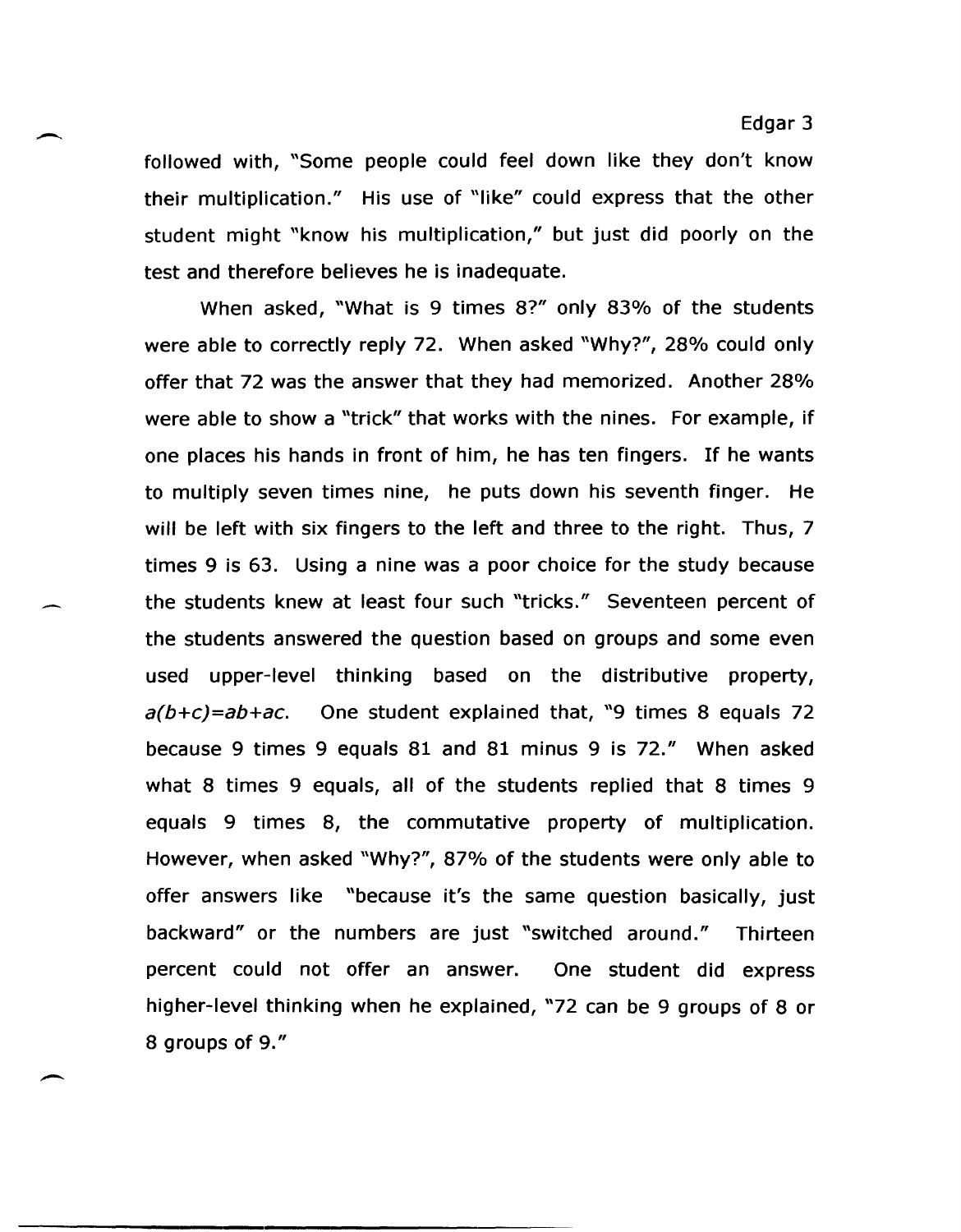-- Edgar 3 followed with, "Some people could feel down like they don't know their multiplication." His use of "like" could express that the other student might "know his multiplication," but just did poorly on the test and therefore believes he is inadequate.

> When asked, "What is 9 times 8?" only 83% of the students were able to correctly reply 72. When asked "Why?", 28% could only offer that 72 was the answer that they had memorized. Another 28% were able to show a "trick" that works with the nines. For example, if one places his hands in front of him, he has ten fingers. If he wants to multiply seven times nine, he puts down his seventh finger. He will be left with six fingers to the left and three to the right. Thus, 7 times 9 is 63. Using a nine was a poor choice for the study because the students knew at least four such "tricks." Seventeen percent of the students answered the question based on groups and some even used upper-level thinking based on the distributive property,  $a(b+c)=ab+ac$ . One student explained that, "9 times 8 equals 72 because 9 times 9 equals 81 and 81 minus 9 is 72." When asked what 8 times 9 equals, all of the students replied that 8 times 9 equals 9 times 8, the commutative property of multiplication. However, when asked "Why?", 87% of the students were only able to offer answers like "because it's the same question basically, just backward" or the numbers are just "switched around." Thirteen percent could not offer an answer. One student did express higher-level thinking when he explained, "72 can be 9 groups of 8 or 8 groups of 9."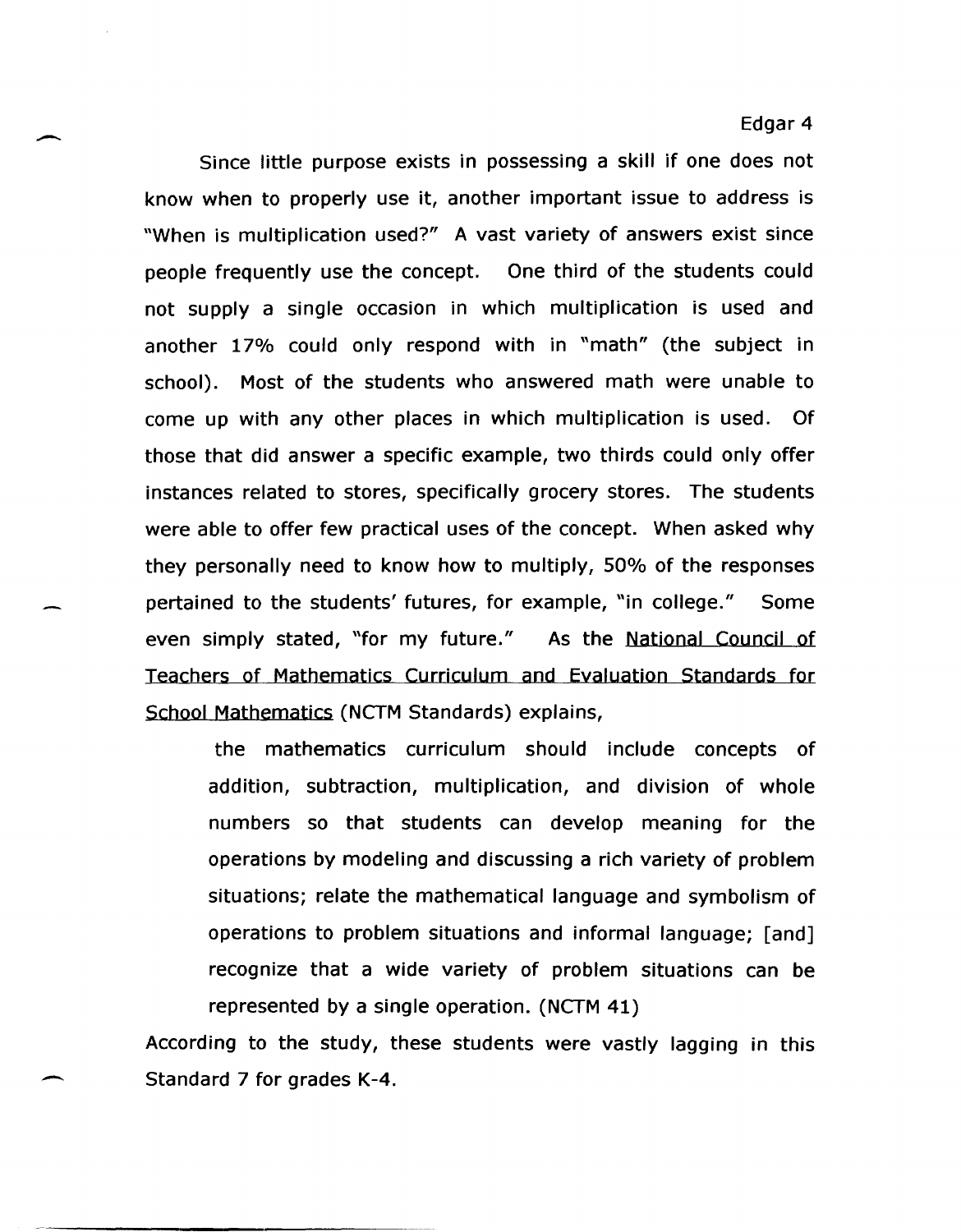Since little purpose exists in possessing a skill if one does not know when to properly use it, another important issue to address is "When is multiplication used?" A vast variety of answers exist since people frequently use the concept. One third of the students could not supply a single occasion in which multiplication is used and another 17% could only respond with in "math" (the subject in school). Most of the students who answered math were unable to come up with any other places in which multiplication is used. Of those that did answer a specific example, two thirds could only offer instances related to stores, specifically grocery stores. The students were able to offer few practical uses of the concept. When asked why they personally need to know how to multiply, 50% of the responses pertained to the students' futures, for example, "in college." Some even simply stated, "for my future." As the National Council of Teachers of Mathematics Curriculum and Evaluation Standards for School Mathematics (NCTM Standards) explains,

-

-.

the mathematics curriculum should include concepts of addition, subtraction, multiplication, and division of whole numbers so that students can develop meaning for the operations by modeling and discussing a rich variety of problem situations; relate the mathematical language and symbolism of operations to problem situations and informal language; [and] recognize that a wide variety of problem situations can be represented by a single operation. (NCTM 41)

According to the study, these students were vastly lagging in this Standard 7 for grades K-4.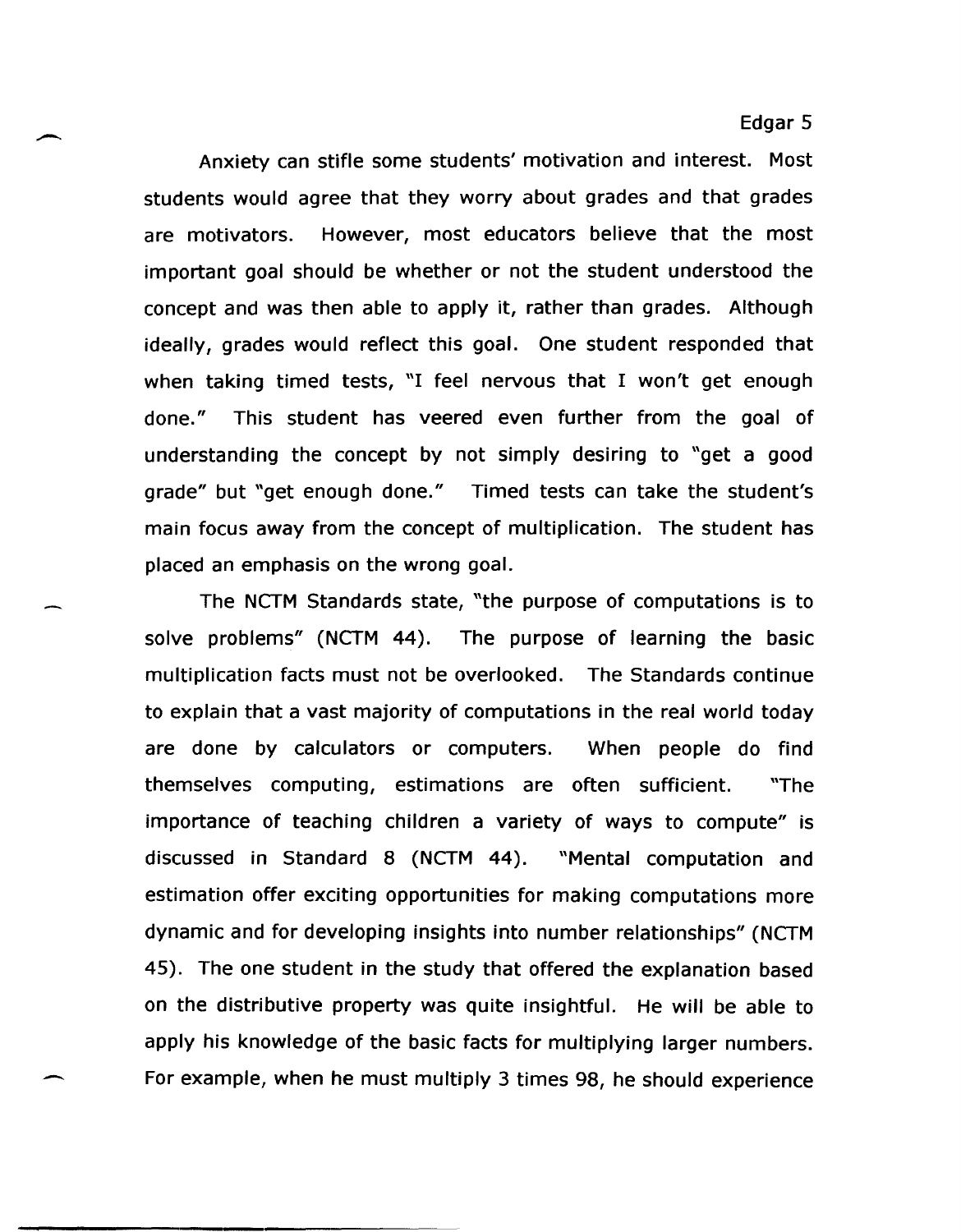Anxiety can stifle some students' motivation and interest. Most students would agree that they worry about grades and that grades are motivators. However, most educators believe that the most important goal should be whether or not the student understood the concept and was then able to apply it, rather than grades. Although ideally, grades would reflect this goal. One student responded that when taking timed tests, "I feel nervous that 1 won't get enough done." This student has veered even further from the goal of understanding the concept by not simply desiring to "get a good grade" but "get enough done." Timed tests can take the student's main focus away from the concept of multiplication. The student has placed an emphasis on the wrong goal.

The NCTM Standards state, "the purpose of computations is to solve problems" (NCTM 44). The purpose of learning the basic multiplication facts must not be overlooked. The Standards continue to explain that a vast majority of computations in the real world today are done by calculators or computers. When people do find themselves computing, estimations are often sufficient. "The importance of teaching children a variety of ways to compute" is discussed in Standard 8 (NCTM 44). "Mental computation and estimation offer exciting opportunities for making computations more dynamic and for developing insights into number relationships" (NCTM 45). The one student in the study that offered the explanation based on the distributive property was quite insightful. He will be able to apply his knowledge of the basic facts for multiplying larger numbers. For example, when he must multiply 3 times 98, he should experience

-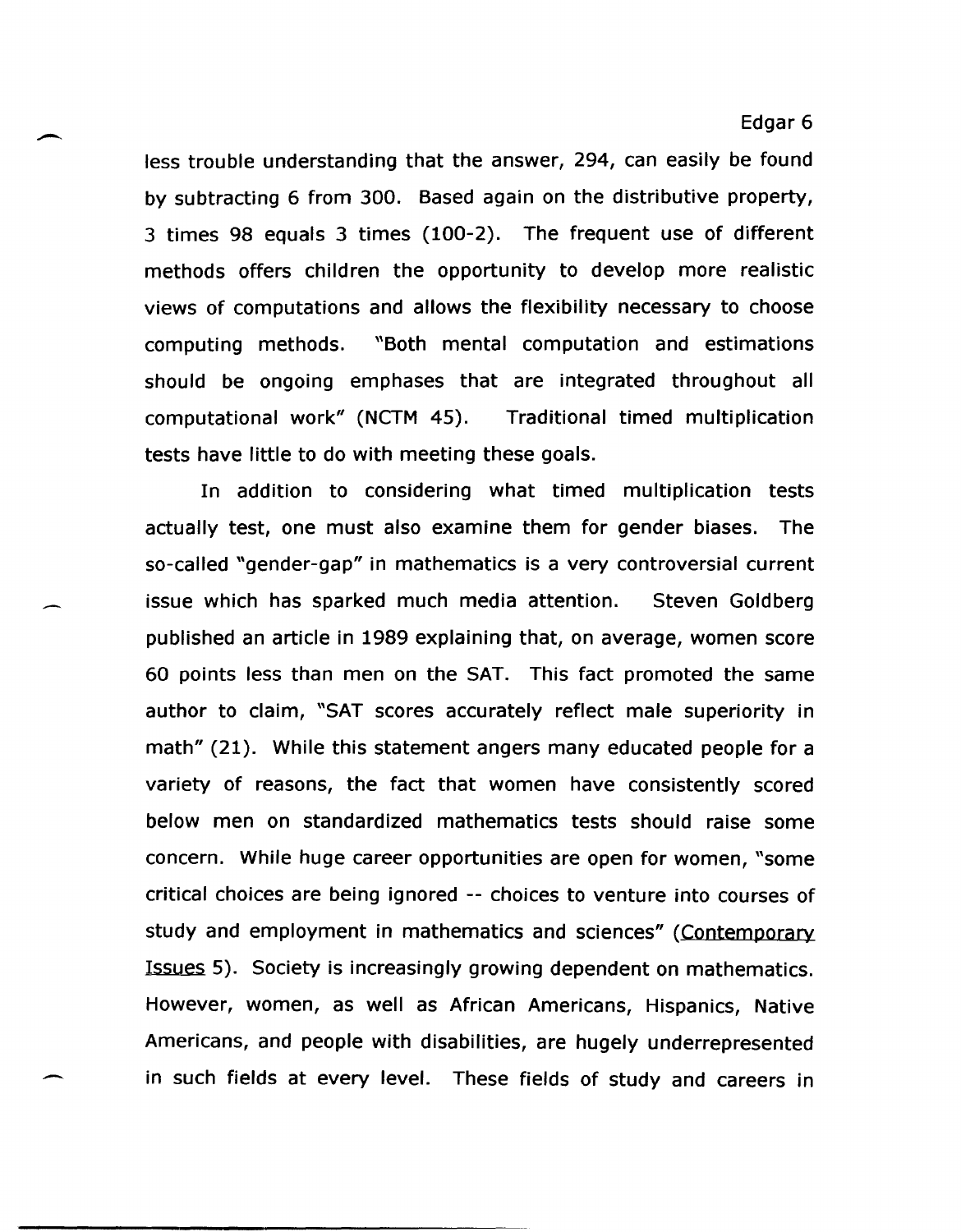# Edgar 6

less trouble understanding that the answer, 294, can easily be found by subtracting 6 from 300. Based again on the distributive property, 3 times 98 equals 3 times (100-2). The frequent use of different methods offers children the opportunity to develop more realistic views of computations and allows the flexibility necessary to choose computing methods. "Both mental computation and estimations should be ongoing emphases that are integrated throughout all computational work" (NCTM 45). Traditional timed multiplication tests have little to do with meeting these goals.

In addition to considering what timed multiplication tests actually test, one must also examine them for gender biases. The so-called "gender-gap" in mathematics is a very controversial current issue which has sparked much media attention. Steven Goldberg published an article in 1989 explaining that, on average, women score 60 pOints less than men on the SAT. This fact promoted the same author to claim, "SAT scores accurately reflect male superiority in math" (21). While this statement angers many educated people for a variety of reasons, the fact that women have consistently scored below men on standardized mathematics tests should raise some concern. While huge career opportunities are open for women, "some critical choices are being ignored -- choices to venture into courses of study and employment in mathematics and sciences" (Contemporary Issues 5). Society is increasingly growing dependent on mathematics. However, women, as well as African Americans, Hispanics, Native Americans, and people with disabilities, are hugely underrepresented in such fields at every level. These fields of study and careers in

-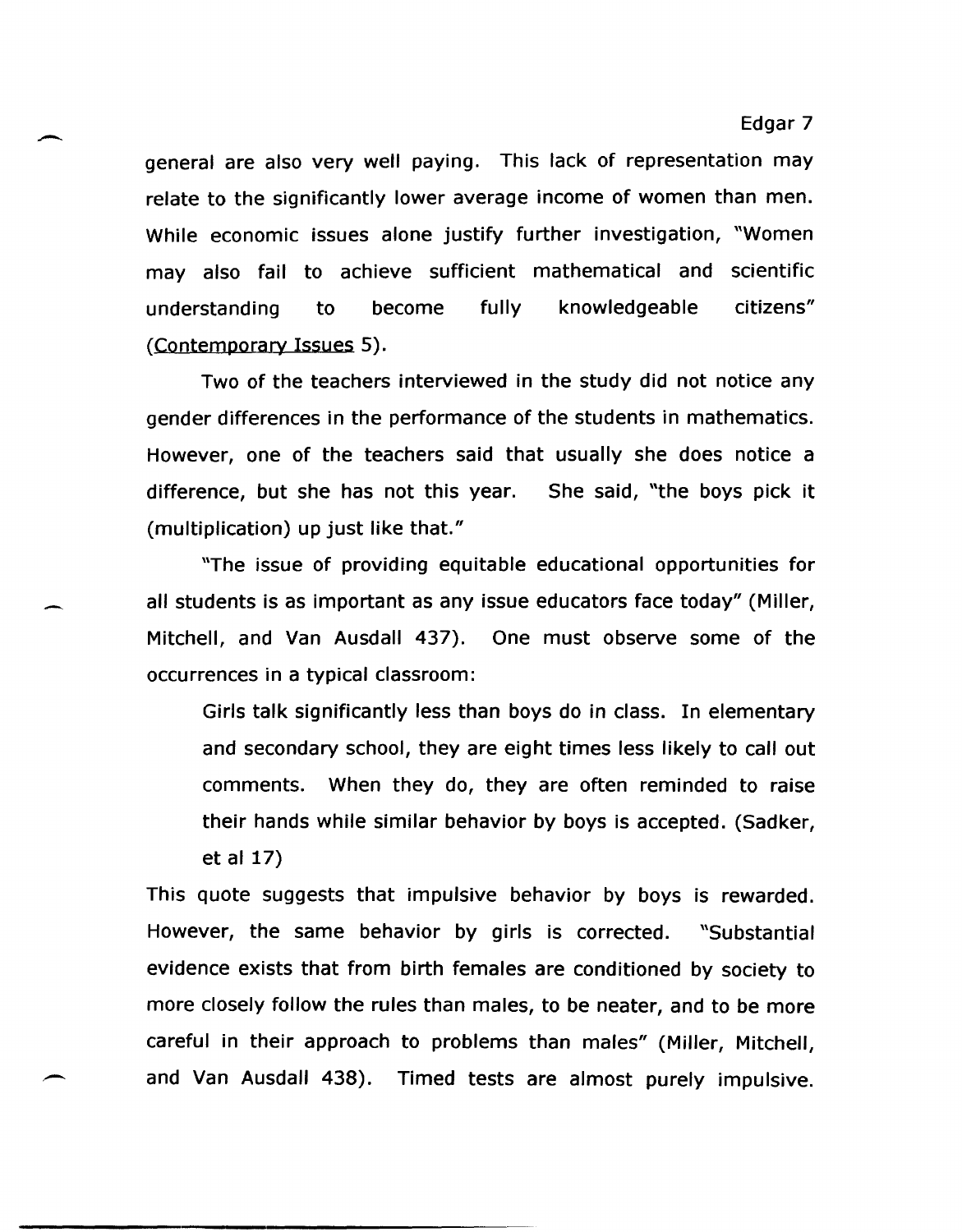general are also very well paying. This lack of representation may relate to the significantly lower average income of women than men. While economic issues alone justify further investigation, "Women may also fail to achieve sufficient mathematical and scientific understanding to become fully knowledgeable citizens" (Contemporary Issues 5).

Two of the teachers interviewed in the study did not notice any gender differences in the performance of the students in mathematics. However, one of the teachers said that usually she does notice a difference, but she has not this year. She said, "the boys pick it (multiplication) up just like that."

"The issue of providing equitable educational opportunities for all students is as important as any issue educators face today" (Miller, Mitchell, and Van Ausdall 437). One must observe some of the occurrences in a typical classroom:

Girls talk significantly less than boys do in class. In elementary and secondary school, they are eight times less likely to call out comments. When they do, they are often reminded to raise their hands while similar behavior by boys is accepted. (Sadker, et al 17)

This quote suggests that impulsive behavior by boys is rewarded. However, the same behavior by girls is corrected. "Substantial evidence exists that from birth females are conditioned by society to more closely follow the rules than males, to be neater, and to be more careful in their approach to problems than males" (Miller, Mitchell, and Van Ausdall 438). Timed tests are almost purely impulsive.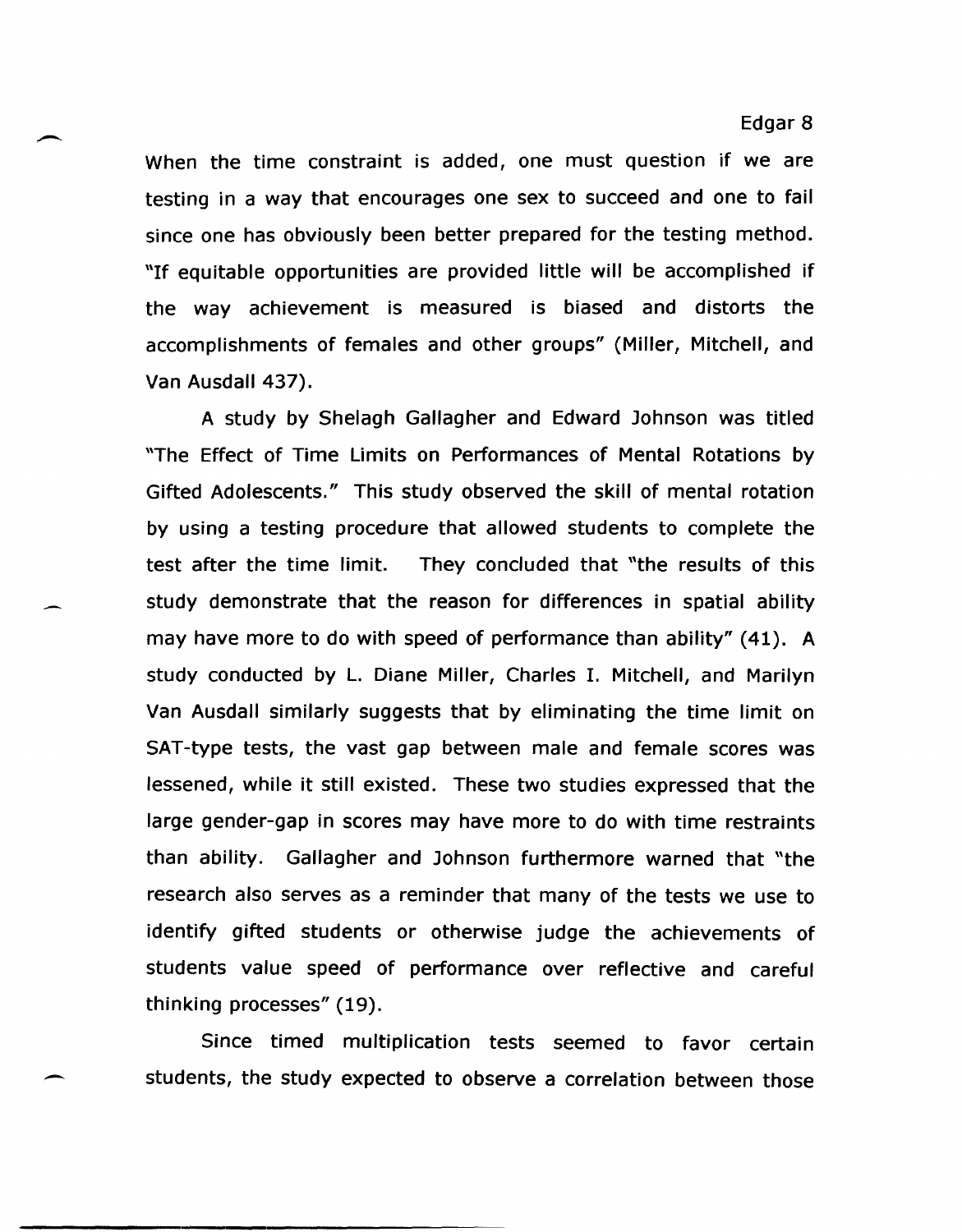When the time constraint is added, one must question if we are testing in a way that encourages one sex to succeed and one to fail since one has obviously been better prepared for the testing method. "If equitable opportunities are provided little will be accomplished if the way achievement is measured is biased and distorts the accomplishments of females and other groups" (Miller, Mitchell, and Van Ausdall 437).

A study by Shelagh Gallagher and Edward Johnson was titled "The Effect of Time Limits on Performances of Mental Rotations by Gifted Adolescents." This study observed the skill of mental rotation by using a testing procedure that allowed students to complete the test after the time limit. They concluded that "the results of this study demonstrate that the reason for differences in spatial ability may have more to do with speed of performance than ability" (41). A study conducted by L. Diane Miller, Charles 1. Mitchell, and Marilyn Van Ausdall similarly suggests that by eliminating the time limit on SAT-type tests, the vast gap between male and female scores was lessened, while it still existed. These two studies expressed that the large gender-gap in scores may have more to do with time restraints than ability. Gallagher and Johnson furthermore warned that "the research also serves as a reminder that many of the tests we use to identify gifted students or otherwise judge the achievements of students value speed of performance over reflective and careful thinking processes" (19).

Since timed multiplication tests seemed to favor certain students, the study expected to observe a correlation between those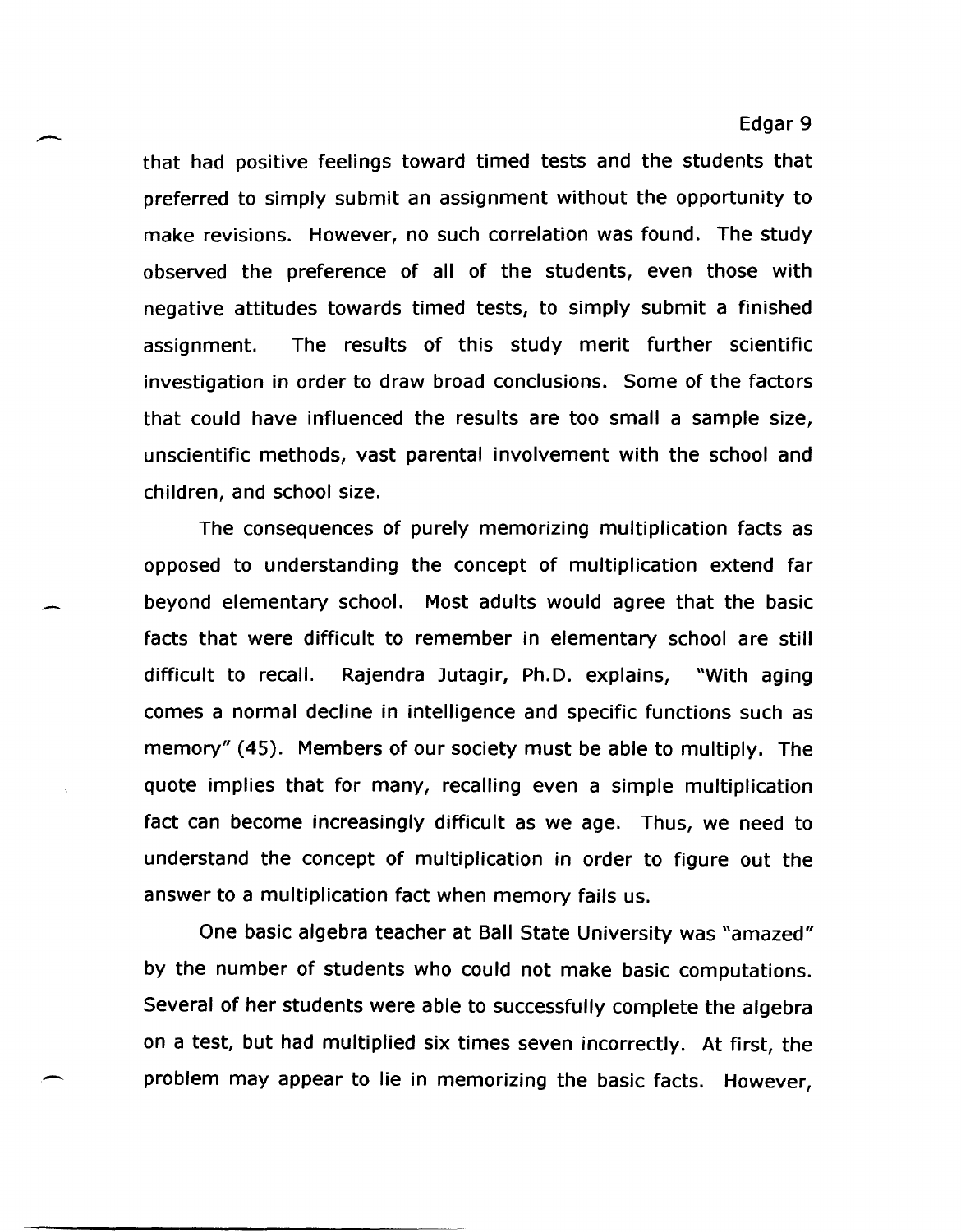# Edgar 9

that had positive feelings toward timed tests and the students that preferred to simply submit an assignment without the opportunity to make revisions. However, no such correlation was found. The study observed the preference of all of the students, even those with negative attitudes towards timed tests, to simply submit a finished assignment. The results of this study merit further scientific investigation in order to draw broad conclusions. Some of the factors that could have influenced the results are too small a sample size, unscientific methods, vast parental involvement with the school and children, and school size.

The consequences of purely memorizing multiplication facts as opposed to understanding the concept of multiplication extend far beyond elementary school. Most adults would agree that the basic facts that were difficult to remember in elementary school are still difficult to recall. Rajendra Jutagir, Ph.D. explains, "With aging comes a normal decline in intelligence and specific functions such as memory" (45). Members of our society must be able to multiply. The quote implies that for many, recalling even a simple multiplication fact can become increasingly difficult as we age. Thus, we need to understand the concept of multiplication in order to figure out the answer to a multiplication fact when memory fails us.

-

-

One basic algebra teacher at Ball State University was "amazed" by the number of students who could not make basic computations. Several of her students were able to successfully complete the algebra on a test, but had multiplied six times seven incorrectly. At first, the problem may appear to lie in memorizing the basic facts. However,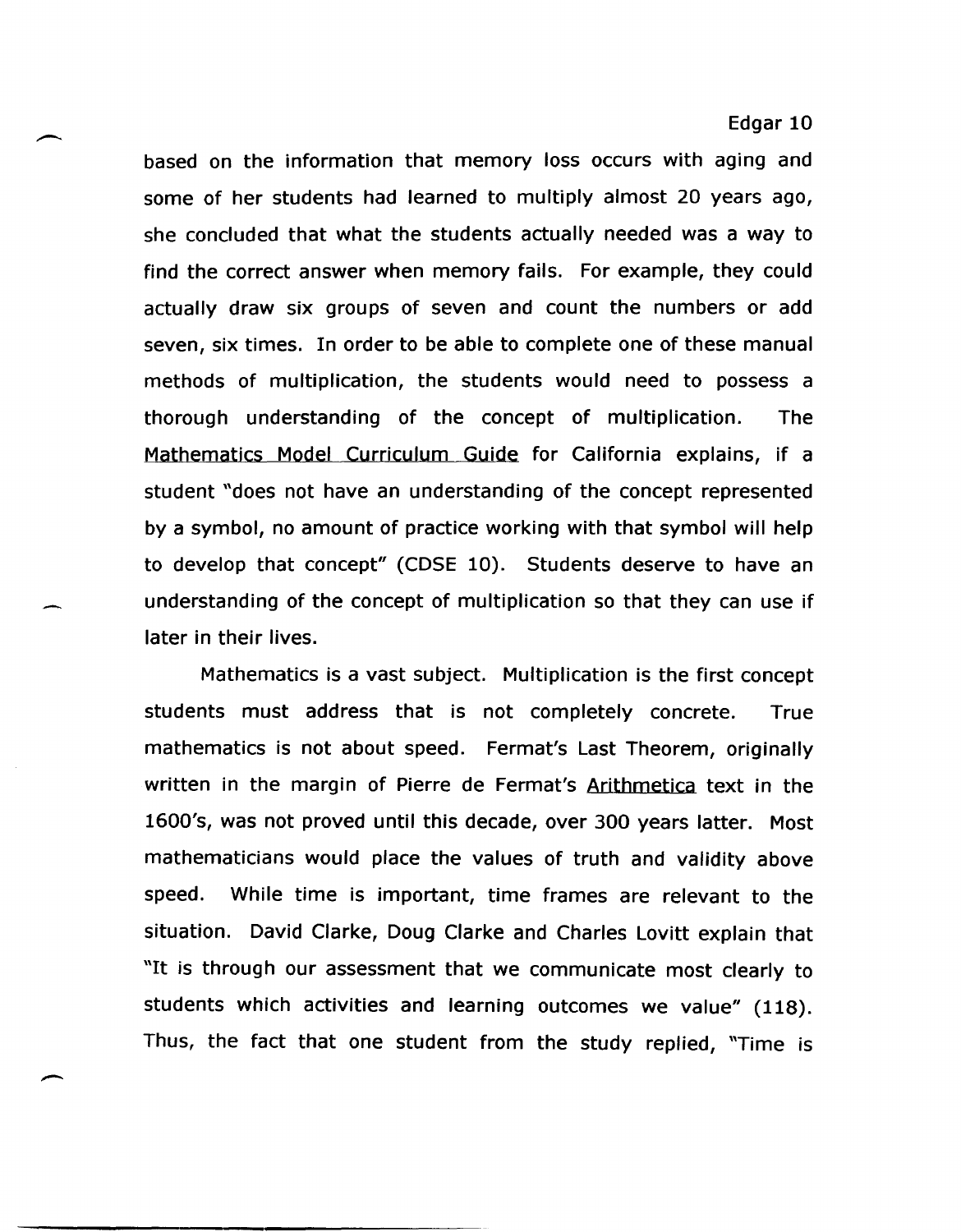based on the information that memory loss occurs with aging and some of her students had learned to multiply almost 20 years ago, she concluded that what the students actually needed was a way to find the correct answer when memory fails. For example, they could actually draw six groups of seven and count the numbers or add seven, six times. In order to be able to complete one of these manual methods of multiplication, the students would need to possess a thorough understanding of the concept of multiplication. The Mathematics Model Curriculum Guide for California explains, if a student "does not have an understanding of the concept represented by a symbol, no amount of practice working with that symbol will help to develop that concept" (CDSE 10). Students deserve to have an understanding of the concept of multiplication so that they can use if later in their lives.

Mathematics is a vast subject. Multiplication is the first concept students must address that is not completely concrete. True mathematics is not about speed. Fermat's Last Theorem, originally written in the margin of Pierre de Fermat's Arithmetica text in the 1600's, was not proved until this decade, over 300 years latter. Most mathematicians would place the values of truth and validity above speed. While time is important, time frames are relevant to the situation. David Clarke, Doug Clarke and Charles Lovitt explain that "It is through our assessment that we communicate most clearly to students which activities and learning outcomes we value" (118). Thus, the fact that one student from the study replied, "Time is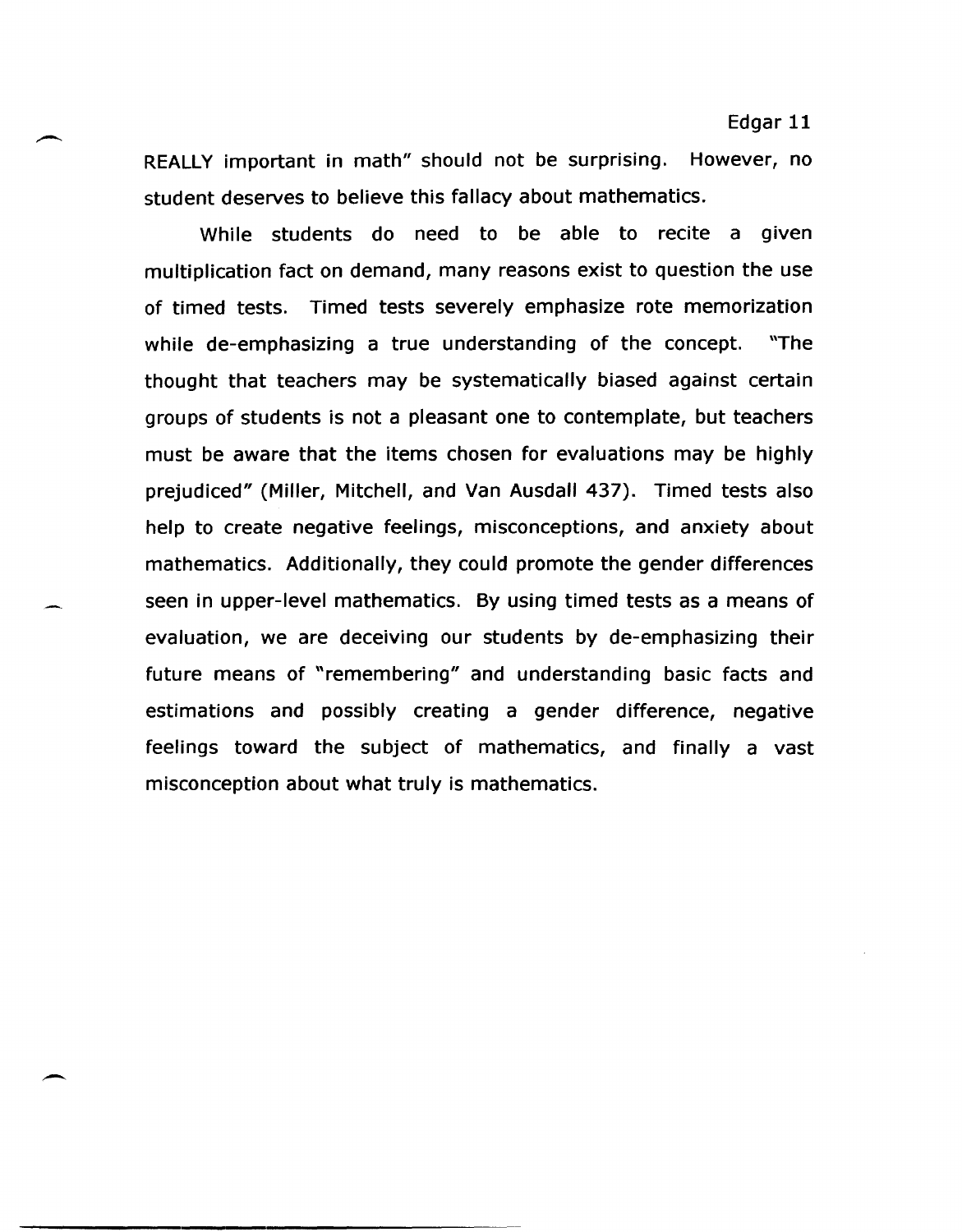REALLY important in math" should not be surprising. However, no student deserves to believe this fallacy about mathematics.

While students do need to be able to recite a given multiplication fact on demand, many reasons exist to question the use of timed tests. Timed tests severely emphasize rote memorization while de-emphasizing a true understanding of the concept. "The thought that teachers may be systematically biased against certain groups of students is not a pleasant one to contemplate, but teachers must be aware that the items chosen for evaluations may be highly prejudiced" (Miller, Mitchell, and Van Ausdall 437). Timed tests also help to create negative feelings, misconceptions, and anxiety about mathematics. Additionally, they could promote the gender differences seen in upper-level mathematics. By using timed tests as a means of evaluation, we are deceiving our students by de-emphasizing their future means of "remembering" and understanding basic facts and estimations and possibly creating a gender difference, negative feelings toward the subject of mathematics, and finally a vast misconception about what truly is mathematics.

-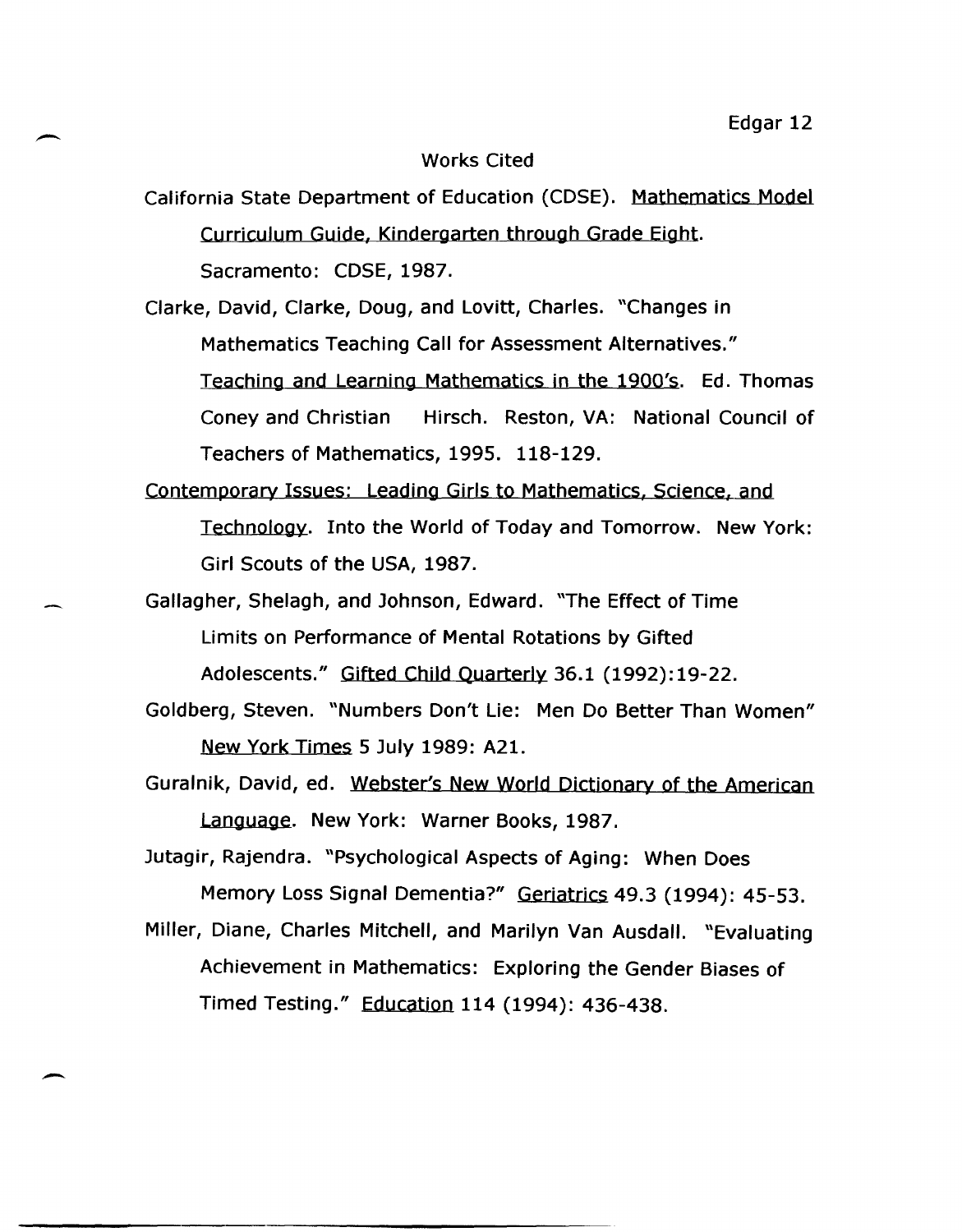#### Works Cited

California State Department of Education (CDSE). Mathematics Model Curriculum Guide, Kindergarten through Grade Eight. Sacramento: CDSE, 1987.

Clarke, David, Clarke, Doug, and Lovitt, Charles. "Changes in Mathematics Teaching Call for Assessment Alternatives." Teaching and Learning Mathematics in the 1900's. Ed. Thomas Coney and Christian Hirsch. Reston, VA: National Council of Teachers of Mathematics, 1995. 118-129.

- Contemporary Issues: Leading Girls to Mathematics, Science, and Technology. Into the World of Today and Tomorrow. New York: Girl Scouts of the USA, 1987.
- Gallagher, Shelagh, and Johnson, Edward. "The Effect of Time Limits on Performance of Mental Rotations by Gifted Adolescents," Gifted Child Quarterly 36.1 (1992):19-22.
- Goldberg, Steven. "Numbers Don't Lie: Men Do Better Than Women" New York Times 5 July 1989: A21.
- Guralnik, DaVid, ed. Webster's New World Dictionary of the American Language. New York: Warner Books, 1987,

Jutagir, Rajendra. "Psychological Aspects of Aging: When Does Memory Loss Signal Dementia?" Geriatrics 49.3 (1994): 45-53.

Miller, Diane, Charles Mitchell, and Marilyn Van Ausdall. "Evaluating Achievement in Mathematics: Exploring the Gender Biases of Timed Testing." Education 114 (1994): 436-438.

 $\overline{\phantom{a}}$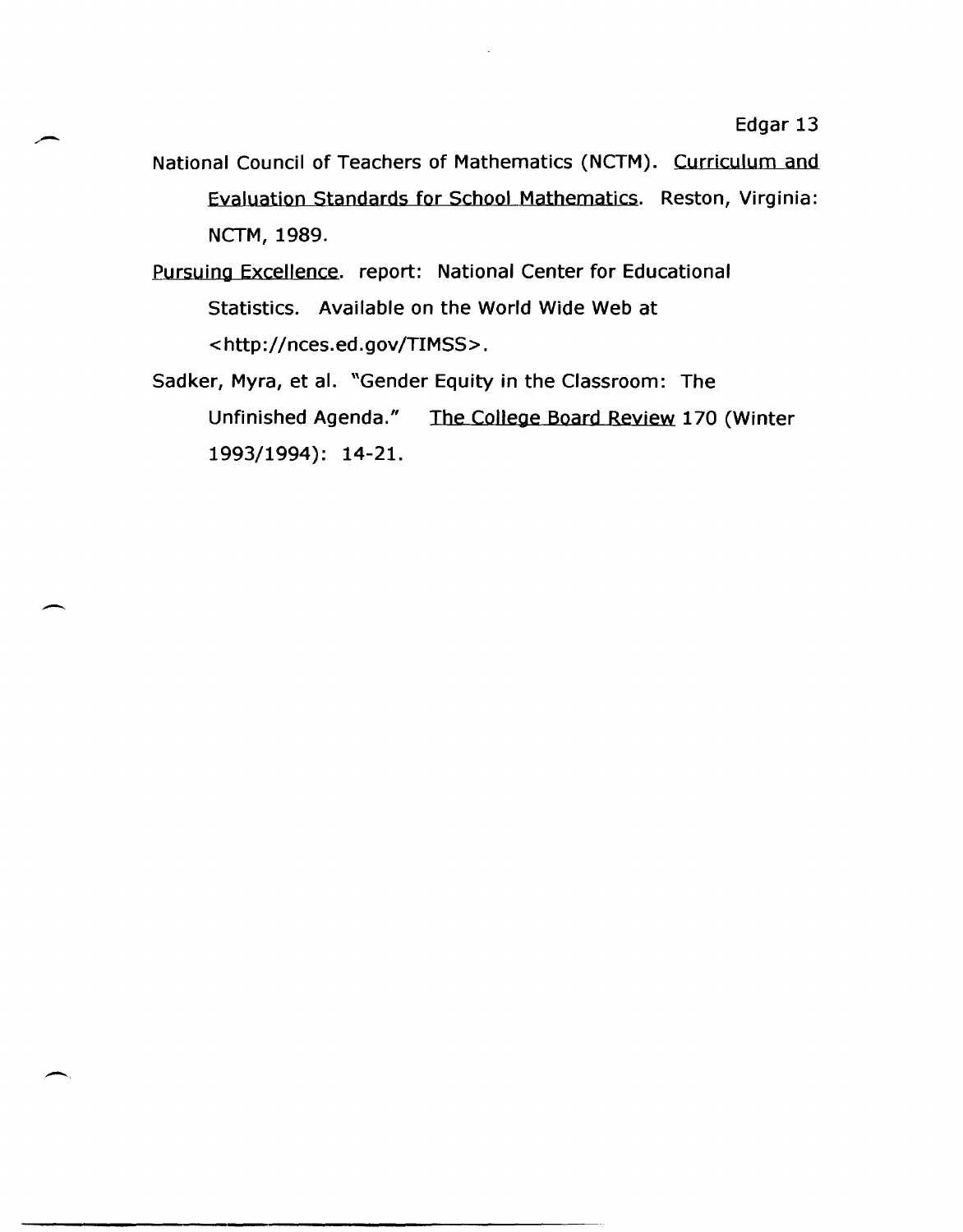- National Council of Teachers of Mathematics (NCTM). Curriculum and Evaluation Standards for School Mathematics. Reston, Virginia: NCTM,1989.
- Pursuing Excellence. report: National Center for Educational Statistics. Available on the World Wide Web at < http://nces.ed.gov/TIMSS> .

 $\overline{\phantom{a}}$ 

-,

Sadker, Myra, et al. "Gender Equity in the Classroom: The Unfinished Agenda." The College Board Review 170 (Winter 1993/1994): 14-21.